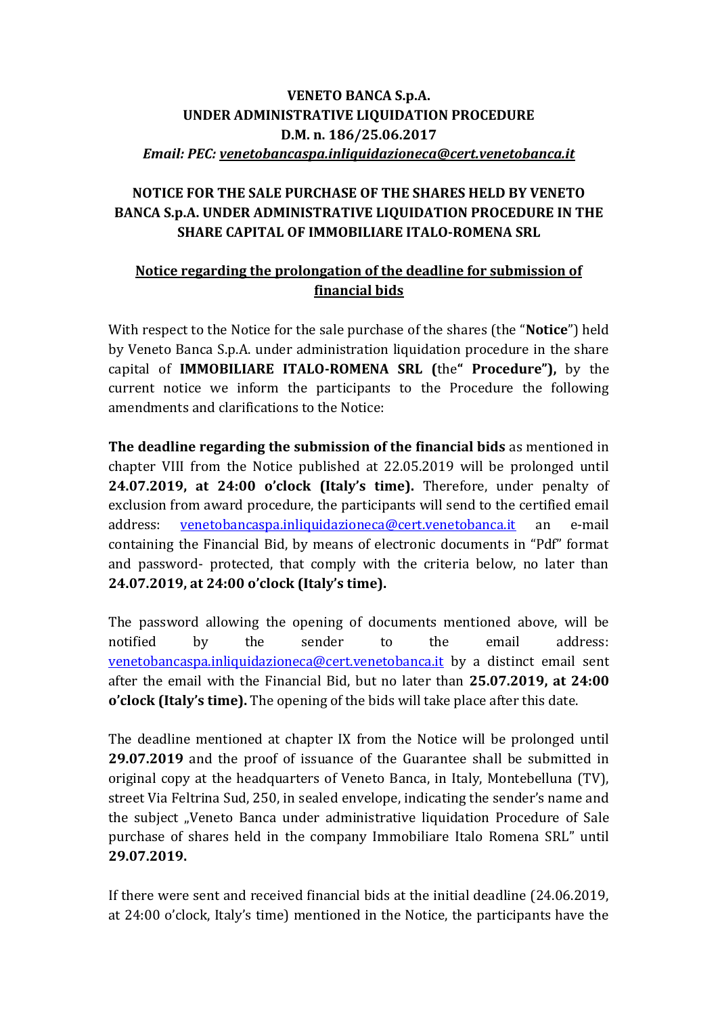## **VENETO BANCA S.p.A. UNDER ADMINISTRATIVE LIQUIDATION PROCEDURE D.M. n. 186/25.06.2017** *Email: PEC: [venetobancaspa.inliquidazioneca@cert.venetobanca.it](mailto:venetobancaspa.inliquidazioneca@cert.venetobanca.it)*

## **NOTICE FOR THE SALE PURCHASE OF THE SHARES HELD BY VENETO BANCA S.p.A. UNDER ADMINISTRATIVE LIQUIDATION PROCEDURE IN THE SHARE CAPITAL OF IMMOBILIARE ITALO-ROMENA SRL**

## **Notice regarding the prolongation of the deadline for submission of financial bids**

With respect to the Notice for the sale purchase of the shares (the "**Notice**") held by Veneto Banca S.p.A. under administration liquidation procedure in the share capital of **IMMOBILIARE ITALO-ROMENA SRL (**the**" Procedure"),** by the current notice we inform the participants to the Procedure the following amendments and clarifications to the Notice:

**The deadline regarding the submission of the financial bids** as mentioned in chapter VIII from the Notice published at 22.05.2019 will be prolonged until **24.07.2019, at 24:00 o'clock (Italy's time).** Therefore, under penalty of exclusion from award procedure, the participants will send to the certified email address: [venetobancaspa.inliquidazioneca@cert.venetobanca.it](mailto:venetobancaspa.inliquidazioneca@cert.venetobanca.it) an e-mail containing the Financial Bid, by means of electronic documents in "Pdf" format and password- protected, that comply with the criteria below, no later than **24.07.2019, at 24:00 o'clock (Italy's time).**

The password allowing the opening of documents mentioned above, will be notified by the sender to the email address: [venetobancaspa.inliquidazioneca@cert.venetobanca.it](mailto:venetobancaspa.inliquidazioneca@cert.venetobanca.it) by a distinct email sent after the email with the Financial Bid, but no later than **25.07.2019, at 24:00 o'clock (Italy's time).** The opening of the bids will take place after this date.

The deadline mentioned at chapter IX from the Notice will be prolonged until **29.07.2019** and the proof of issuance of the Guarantee shall be submitted in original copy at the headquarters of Veneto Banca, in Italy, Montebelluna (TV), street Via Feltrina Sud, 250, in sealed envelope, indicating the sender's name and the subject "Veneto Banca under administrative liquidation Procedure of Sale purchase of shares held in the company Immobiliare Italo Romena SRL" until **29.07.2019.**

If there were sent and received financial bids at the initial deadline (24.06.2019, at 24:00 o'clock, Italy's time) mentioned in the Notice, the participants have the